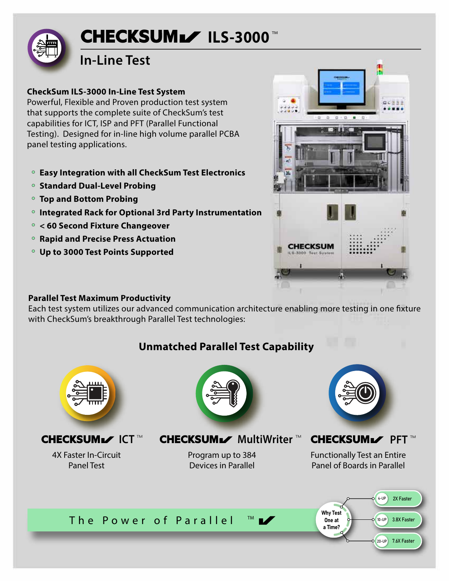# ILS-3000 $^{\scriptscriptstyle\rm{m}}$

# **In-Line Test**

#### **CheckSum ILS-3000 In-Line Test System**

Powerful, Flexible and Proven production test system that supports the complete suite of CheckSum's test capabilities for ICT, ISP and PFT (Parallel Functional Testing). Designed for in-line high volume parallel PCBA panel testing applications.

- **Easy Integration with all CheckSum Test Electronics**
- **Standard Dual-Level Probing**
- **Top and Bottom Probing**
- **Integrated Rack for Optional 3rd Party Instrumentation**
- **< 60 Second Fixture Changeover**
- **Rapid and Precise Press Actuation**
- **Up to 3000 Test Points Supported**



#### **Parallel Test Maximum Productivity**

Each test system utilizes our advanced communication architecture enabling more testing in one fixture with CheckSum's breakthrough Parallel Test technologies:

## **Unmatched Parallel Test Capability**



4X Faster In-Circuit Panel Test



CHECKSUML ICT™ CHECKSUML MultiWriter™ CHECKSUML PFT™

Program up to 384 Devices in Parallel



Functionally Test an Entire Panel of Boards in Parallel